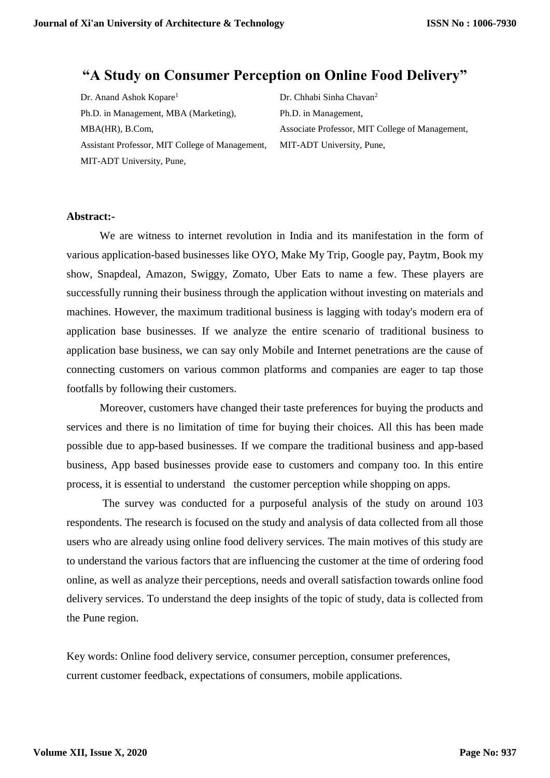# **"A Study on Consumer Perception on Online Food Delivery"**

Dr. Anand Ashok Kopare<sup>1</sup> Ph.D. in Management, MBA (Marketing), MBA(HR), B.Com, Assistant Professor, MIT College of Management, MIT-ADT University, Pune,

Dr. Chhabi Sinha Chavan<sup>2</sup> Ph.D. in Management, Associate Professor, MIT College of Management, MIT-ADT University, Pune,

#### **Abstract:-**

We are witness to internet revolution in India and its manifestation in the form of various application-based businesses like OYO, Make My Trip, Google pay, Paytm, Book my show, Snapdeal, Amazon, Swiggy, Zomato, Uber Eats to name a few. These players are successfully running their business through the application without investing on materials and machines. However, the maximum traditional business is lagging with today's modern era of application base businesses. If we analyze the entire scenario of traditional business to application base business, we can say only Mobile and Internet penetrations are the cause of connecting customers on various common platforms and companies are eager to tap those footfalls by following their customers.

Moreover, customers have changed their taste preferences for buying the products and services and there is no limitation of time for buying their choices. All this has been made possible due to app-based businesses. If we compare the traditional business and app-based business, App based businesses provide ease to customers and company too. In this entire process, it is essential to understand the customer perception while shopping on apps.

The survey was conducted for a purposeful analysis of the study on around 103 respondents. The research is focused on the study and analysis of data collected from all those users who are already using online food delivery services. The main motives of this study are to understand the various factors that are influencing the customer at the time of ordering food online, as well as analyze their perceptions, needs and overall satisfaction towards online food delivery services. To understand the deep insights of the topic of study, data is collected from the Pune region.

Key words: Online food delivery service, consumer perception, consumer preferences, current customer feedback, expectations of consumers, mobile applications.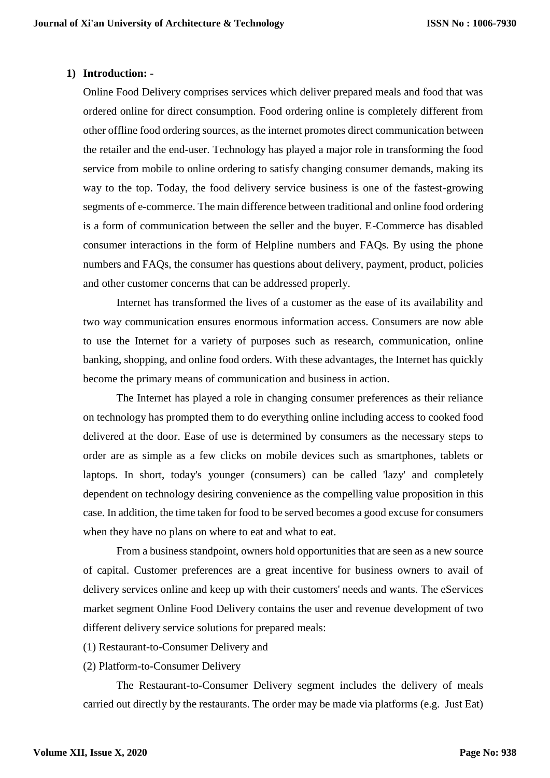#### **1) Introduction: -**

Online Food Delivery comprises services which deliver prepared meals and food that was ordered online for direct consumption. Food ordering online is completely different from other offline food ordering sources, as the internet promotes direct communication between the retailer and the end-user. Technology has played a major role in transforming the food service from mobile to online ordering to satisfy changing consumer demands, making its way to the top. Today, the food delivery service business is one of the fastest-growing segments of e-commerce. The main difference between traditional and online food ordering is a form of communication between the seller and the buyer. E-Commerce has disabled consumer interactions in the form of Helpline numbers and FAQs. By using the phone numbers and FAQs, the consumer has questions about delivery, payment, product, policies and other customer concerns that can be addressed properly.

Internet has transformed the lives of a customer as the ease of its availability and two way communication ensures enormous information access. Consumers are now able to use the Internet for a variety of purposes such as research, communication, online banking, shopping, and online food orders. With these advantages, the Internet has quickly become the primary means of communication and business in action.

The Internet has played a role in changing consumer preferences as their reliance on technology has prompted them to do everything online including access to cooked food delivered at the door. Ease of use is determined by consumers as the necessary steps to order are as simple as a few clicks on mobile devices such as smartphones, tablets or laptops. In short, today's younger (consumers) can be called 'lazy' and completely dependent on technology desiring convenience as the compelling value proposition in this case. In addition, the time taken for food to be served becomes a good excuse for consumers when they have no plans on where to eat and what to eat.

From a business standpoint, owners hold opportunities that are seen as a new source of capital. Customer preferences are a great incentive for business owners to avail of delivery services online and keep up with their customers' needs and wants. The eServices market segment Online Food Delivery contains the user and revenue development of two different delivery service solutions for prepared meals:

- (1) Restaurant-to-Consumer Delivery and
- (2) Platform-to-Consumer Delivery

The Restaurant-to-Consumer Delivery segment includes the delivery of meals carried out directly by the restaurants. The order may be made via platforms (e.g. Just Eat)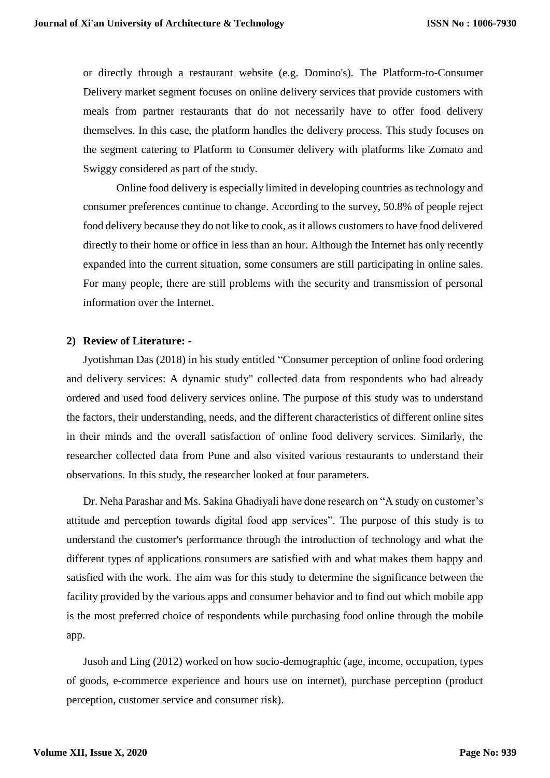or directly through a restaurant website (e.g. Domino's). The Platform-to-Consumer Delivery market segment focuses on online delivery services that provide customers with meals from partner restaurants that do not necessarily have to offer food delivery themselves. In this case, the platform handles the delivery process. This study focuses on the segment catering to Platform to Consumer delivery with platforms like Zomato and Swiggy considered as part of the study.

Online food delivery is especially limited in developing countries as technology and consumer preferences continue to change. According to the survey, 50.8% of people reject food delivery because they do not like to cook, as it allows customers to have food delivered directly to their home or office in less than an hour. Although the Internet has only recently expanded into the current situation, some consumers are still participating in online sales. For many people, there are still problems with the security and transmission of personal information over the Internet.

#### **2) Review of Literature: -**

Jyotishman Das (2018) in his study entitled "Consumer perception of online food ordering and delivery services: A dynamic study" collected data from respondents who had already ordered and used food delivery services online. The purpose of this study was to understand the factors, their understanding, needs, and the different characteristics of different online sites in their minds and the overall satisfaction of online food delivery services. Similarly, the researcher collected data from Pune and also visited various restaurants to understand their observations. In this study, the researcher looked at four parameters.

Dr. Neha Parashar and Ms. Sakina Ghadiyali have done research on "A study on customer's attitude and perception towards digital food app services". The purpose of this study is to understand the customer's performance through the introduction of technology and what the different types of applications consumers are satisfied with and what makes them happy and satisfied with the work. The aim was for this study to determine the significance between the facility provided by the various apps and consumer behavior and to find out which mobile app is the most preferred choice of respondents while purchasing food online through the mobile app.

Jusoh and Ling (2012) worked on how socio-demographic (age, income, occupation, types of goods, e-commerce experience and hours use on internet), purchase perception (product perception, customer service and consumer risk).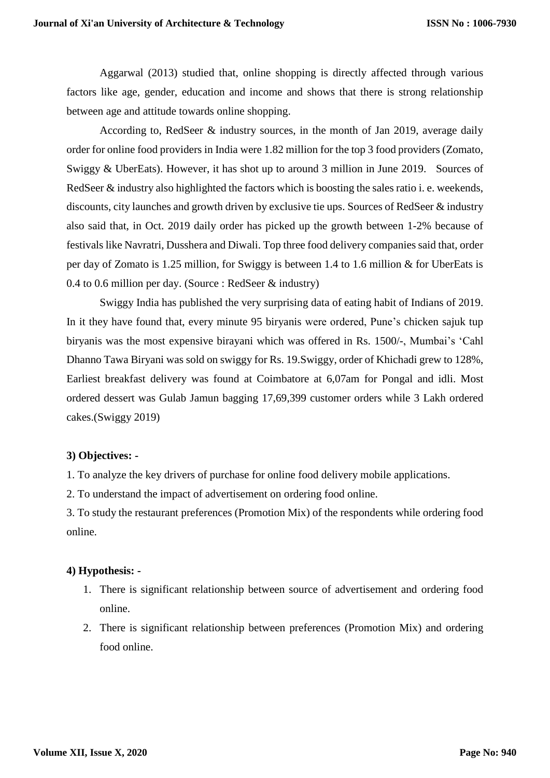Aggarwal (2013) studied that, online shopping is directly affected through various factors like age, gender, education and income and shows that there is strong relationship between age and attitude towards online shopping.

According to, RedSeer & industry sources, in the month of Jan 2019, average daily order for online food providers in India were 1.82 million for the top 3 food providers (Zomato, Swiggy & UberEats). However, it has shot up to around 3 million in June 2019. Sources of RedSeer & industry also highlighted the factors which is boosting the sales ratio i. e. weekends, discounts, city launches and growth driven by exclusive tie ups. Sources of RedSeer & industry also said that, in Oct. 2019 daily order has picked up the growth between 1-2% because of festivals like Navratri, Dusshera and Diwali. Top three food delivery companies said that, order per day of Zomato is 1.25 million, for Swiggy is between 1.4 to 1.6 million & for UberEats is 0.4 to 0.6 million per day. (Source : RedSeer & industry)

Swiggy India has published the very surprising data of eating habit of Indians of 2019. In it they have found that, every minute 95 biryanis were ordered, Pune's chicken sajuk tup biryanis was the most expensive birayani which was offered in Rs. 1500/-, Mumbai's 'Cahl Dhanno Tawa Biryani was sold on swiggy for Rs. 19.Swiggy, order of Khichadi grew to 128%, Earliest breakfast delivery was found at Coimbatore at 6,07am for Pongal and idli. Most ordered dessert was Gulab Jamun bagging 17,69,399 customer orders while 3 Lakh ordered cakes.(Swiggy 2019)

#### **3) Objectives: -**

1. To analyze the key drivers of purchase for online food delivery mobile applications.

2. To understand the impact of advertisement on ordering food online.

3. To study the restaurant preferences (Promotion Mix) of the respondents while ordering food online.

## **4) Hypothesis: -**

- 1. There is significant relationship between source of advertisement and ordering food online.
- 2. There is significant relationship between preferences (Promotion Mix) and ordering food online.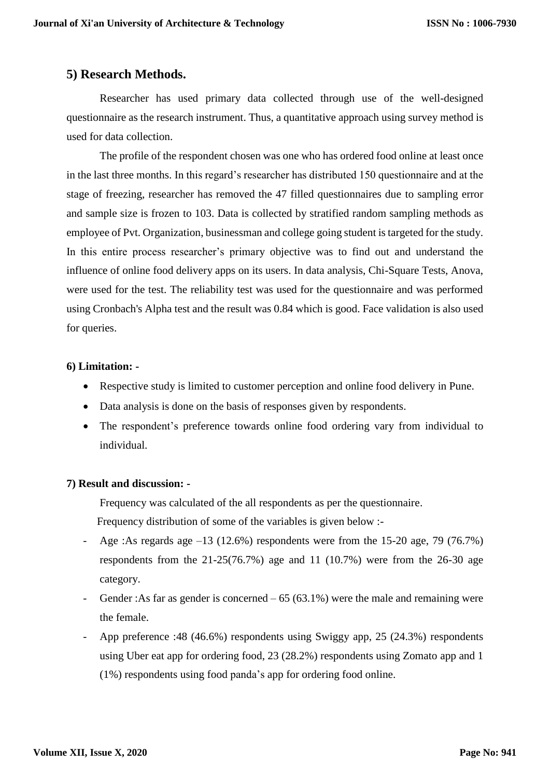## **5) Research Methods.**

Researcher has used primary data collected through use of the well-designed questionnaire as the research instrument. Thus, a quantitative approach using survey method is used for data collection.

The profile of the respondent chosen was one who has ordered food online at least once in the last three months. In this regard's researcher has distributed 150 questionnaire and at the stage of freezing, researcher has removed the 47 filled questionnaires due to sampling error and sample size is frozen to 103. Data is collected by stratified random sampling methods as employee of Pvt. Organization, businessman and college going student is targeted for the study. In this entire process researcher's primary objective was to find out and understand the influence of online food delivery apps on its users. In data analysis, Chi-Square Tests, Anova, were used for the test. The reliability test was used for the questionnaire and was performed using Cronbach's Alpha test and the result was 0.84 which is good. Face validation is also used for queries.

#### **6) Limitation: -**

- Respective study is limited to customer perception and online food delivery in Pune.
- Data analysis is done on the basis of responses given by respondents.
- The respondent's preference towards online food ordering vary from individual to individual.

#### **7) Result and discussion: -**

Frequency was calculated of the all respondents as per the questionnaire. Frequency distribution of some of the variables is given below :-

- Age :As regards age –13 (12.6%) respondents were from the 15-20 age, 79 (76.7%) respondents from the 21-25(76.7%) age and 11 (10.7%) were from the 26-30 age category.
- Gender :As far as gender is concerned  $-65(63.1\%)$  were the male and remaining were the female.
- App preference :48 (46.6%) respondents using Swiggy app, 25 (24.3%) respondents using Uber eat app for ordering food, 23 (28.2%) respondents using Zomato app and 1 (1%) respondents using food panda's app for ordering food online.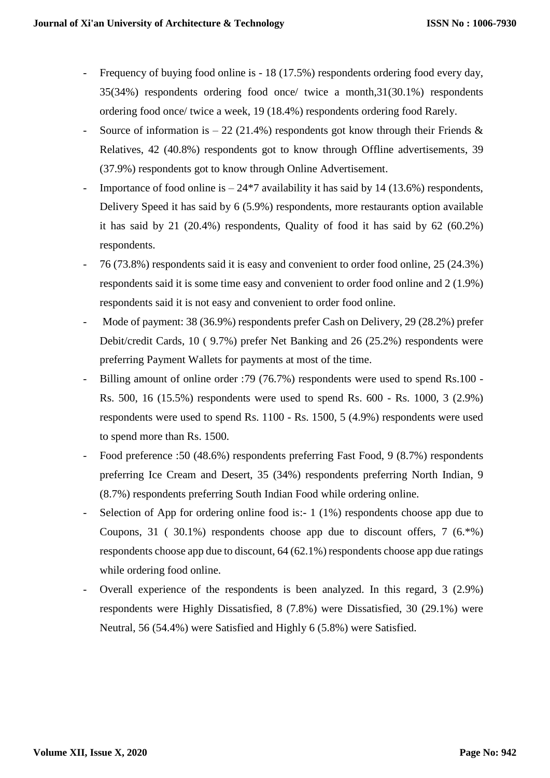- Frequency of buying food online is 18 (17.5%) respondents ordering food every day, 35(34%) respondents ordering food once/ twice a month,31(30.1%) respondents ordering food once/ twice a week, 19 (18.4%) respondents ordering food Rarely.
- Source of information is  $-22$  (21.4%) respondents got know through their Friends & Relatives, 42 (40.8%) respondents got to know through Offline advertisements, 39 (37.9%) respondents got to know through Online Advertisement.
- Importance of food online is  $-24*7$  availability it has said by 14 (13.6%) respondents, Delivery Speed it has said by 6 (5.9%) respondents, more restaurants option available it has said by 21 (20.4%) respondents, Quality of food it has said by 62 (60.2%) respondents.
- 76 (73.8%) respondents said it is easy and convenient to order food online, 25 (24.3%) respondents said it is some time easy and convenient to order food online and 2 (1.9%) respondents said it is not easy and convenient to order food online.
- Mode of payment: 38 (36.9%) respondents prefer Cash on Delivery, 29 (28.2%) prefer Debit/credit Cards, 10 ( 9.7%) prefer Net Banking and 26 (25.2%) respondents were preferring Payment Wallets for payments at most of the time.
- Billing amount of online order :79 (76.7%) respondents were used to spend Rs.100 Rs. 500, 16 (15.5%) respondents were used to spend Rs. 600 - Rs. 1000, 3 (2.9%) respondents were used to spend Rs. 1100 - Rs. 1500, 5 (4.9%) respondents were used to spend more than Rs. 1500.
- Food preference :50 (48.6%) respondents preferring Fast Food, 9 (8.7%) respondents preferring Ice Cream and Desert, 35 (34%) respondents preferring North Indian, 9 (8.7%) respondents preferring South Indian Food while ordering online.
- Selection of App for ordering online food is:-  $1(1\%)$  respondents choose app due to Coupons, 31 ( 30.1%) respondents choose app due to discount offers, 7  $(6.^{\circ}\%)$ respondents choose app due to discount, 64 (62.1%) respondents choose app due ratings while ordering food online.
- Overall experience of the respondents is been analyzed. In this regard, 3 (2.9%) respondents were Highly Dissatisfied, 8 (7.8%) were Dissatisfied, 30 (29.1%) were Neutral, 56 (54.4%) were Satisfied and Highly 6 (5.8%) were Satisfied.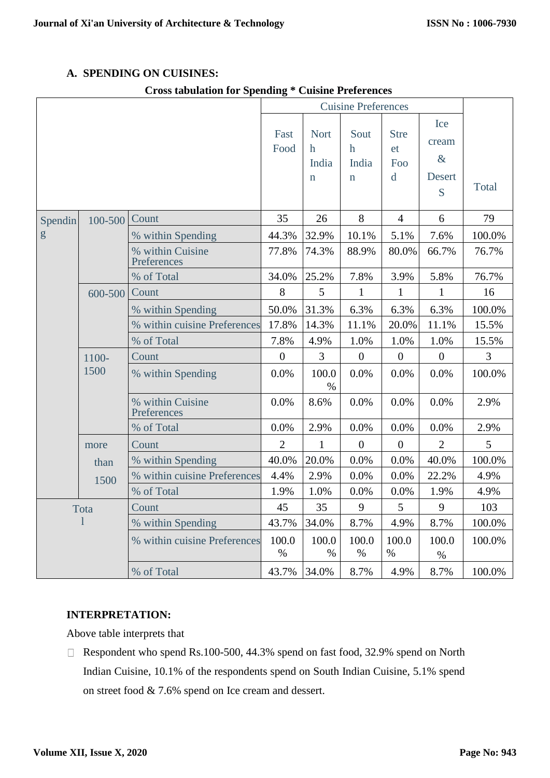## **A. SPENDING ON CUISINES:**

## **Cross tabulation for Spending \* Cuisine Preferences**

|                                                                      |         |                                 |                  |                                                    | <b>Cuisine Preferences</b>                  |                                                    |                                     |        |
|----------------------------------------------------------------------|---------|---------------------------------|------------------|----------------------------------------------------|---------------------------------------------|----------------------------------------------------|-------------------------------------|--------|
|                                                                      |         |                                 |                  | <b>Nort</b><br>$\mathbf h$<br>India<br>$\mathbf n$ | Sout<br>$\mathbf h$<br>India<br>$\mathbf n$ | <b>Stre</b><br><sub>et</sub><br>Foo<br>$\mathbf d$ | Ice<br>cream<br>$\&$<br>Desert<br>S | Total  |
| Spendin                                                              | 100-500 | Count                           | 35               | 26                                                 | 8                                           | $\overline{4}$                                     | 6                                   | 79     |
| g                                                                    |         | % within Spending               | 44.3%            | 32.9%                                              | 10.1%                                       | 5.1%                                               | 7.6%                                | 100.0% |
|                                                                      |         | % within Cuisine<br>Preferences | 77.8%            | 74.3%                                              | 88.9%                                       | 80.0%                                              | 66.7%                               | 76.7%  |
|                                                                      |         | % of Total                      | 34.0%            | 25.2%                                              | 7.8%                                        | 3.9%                                               | 5.8%                                | 76.7%  |
|                                                                      | 600-500 | Count                           | 8                | 5                                                  | $\mathbf{1}$                                | $\mathbf{1}$                                       | $\mathbf{1}$                        | 16     |
|                                                                      |         | % within Spending               | 50.0%            | 31.3%                                              | 6.3%                                        | 6.3%                                               | 6.3%                                | 100.0% |
|                                                                      |         | % within cuisine Preferences    | 17.8%            | 14.3%                                              | 11.1%                                       | 20.0%                                              | 11.1%                               | 15.5%  |
|                                                                      |         | % of Total                      | 7.8%             | 4.9%                                               | 1.0%                                        | 1.0%                                               | 1.0%                                | 15.5%  |
|                                                                      | 1100-   | Count                           | $\boldsymbol{0}$ | 3                                                  | $\boldsymbol{0}$                            | $\boldsymbol{0}$                                   | $\boldsymbol{0}$                    | 3      |
|                                                                      | 1500    | % within Spending               | 0.0%             | 100.0<br>$\%$                                      | 0.0%                                        | 0.0%                                               | 0.0%                                | 100.0% |
|                                                                      |         | % within Cuisine<br>Preferences | 0.0%             | 8.6%                                               | 0.0%                                        | 0.0%                                               | 0.0%                                | 2.9%   |
|                                                                      |         | % of Total                      | 0.0%             | 2.9%                                               | 0.0%                                        | 0.0%                                               | 0.0%                                | 2.9%   |
|                                                                      | more    | Count                           | $\overline{2}$   | $\mathbf{1}$                                       | $\overline{0}$                              | $\overline{0}$                                     | $\overline{2}$                      | 5      |
|                                                                      | than    | % within Spending               | 40.0%            | 20.0%                                              | 0.0%                                        | 0.0%                                               | 40.0%                               | 100.0% |
|                                                                      | 1500    | % within cuisine Preferences    | 4.4%             | 2.9%                                               | 0.0%                                        | 0.0%                                               | 22.2%                               | 4.9%   |
|                                                                      |         | % of Total                      | 1.9%             | 1.0%                                               | 0.0%                                        | 0.0%                                               | 1.9%                                | 4.9%   |
| Tota                                                                 |         | Count                           | 45               | 35                                                 | 9                                           | 5                                                  | 9                                   | 103    |
| 1<br>% within Spending<br>% within cuisine Preferences<br>% of Total |         | 43.7%                           | 34.0%            | 8.7%                                               | 4.9%                                        | 8.7%                                               | 100.0%                              |        |
|                                                                      |         |                                 | 100.0<br>$\%$    | 100.0<br>$\%$                                      | 100.0<br>$\%$                               | 100.0<br>$\%$                                      | 100.0<br>$\%$                       | 100.0% |
|                                                                      |         |                                 | 43.7%            | 34.0%                                              | 8.7%                                        | 4.9%                                               | 8.7%                                | 100.0% |

## **INTERPRETATION:**

Above table interprets that

□ Respondent who spend Rs.100-500, 44.3% spend on fast food, 32.9% spend on North Indian Cuisine, 10.1% of the respondents spend on South Indian Cuisine, 5.1% spend on street food & 7.6% spend on Ice cream and dessert.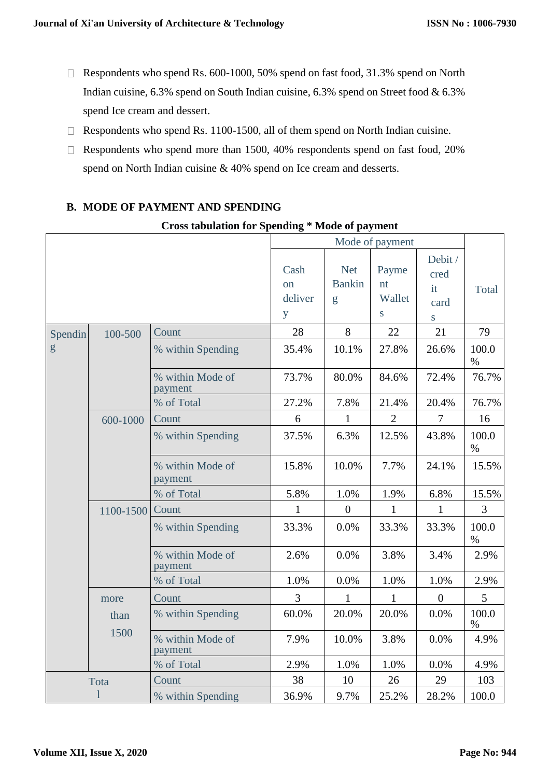- $\Box$  Respondents who spend Rs. 600-1000, 50% spend on fast food, 31.3% spend on North Indian cuisine, 6.3% spend on South Indian cuisine, 6.3% spend on Street food & 6.3% spend Ice cream and dessert.
- $\Box$  Respondents who spend Rs. 1100-1500, all of them spend on North Indian cuisine.
- $\Box$  Respondents who spend more than 1500, 40% respondents spend on fast food, 20% spend on North Indian cuisine & 40% spend on Ice cream and desserts.

## **B. MODE OF PAYMENT AND SPENDING**

#### **Cross tabulation for Spending \* Mode of payment**

|         |              |                             |                            |                                  | Mode of payment            |                                                  |               |
|---------|--------------|-----------------------------|----------------------------|----------------------------------|----------------------------|--------------------------------------------------|---------------|
|         |              |                             | Cash<br>on<br>deliver<br>y | <b>Net</b><br><b>Bankin</b><br>g | Payme<br>nt<br>Wallet<br>S | Debit /<br>cred<br>it<br>card<br>$S_{\parallel}$ | Total         |
| Spendin | 100-500      | Count                       | 28                         | 8                                | 22                         | 21                                               | 79            |
| g       |              | % within Spending           | 35.4%                      | 10.1%                            | 27.8%                      | 26.6%                                            | 100.0<br>$\%$ |
|         |              | % within Mode of<br>payment | 73.7%                      | 80.0%                            | 84.6%                      | 72.4%                                            | 76.7%         |
|         |              | % of Total                  | 27.2%                      | 7.8%                             | 21.4%                      | 20.4%                                            | 76.7%         |
|         | 600-1000     | Count                       | 6                          | $\mathbf{1}$                     | $\overline{2}$             | $\overline{7}$                                   | 16            |
|         |              | % within Spending           | 37.5%                      | 6.3%                             | 12.5%                      | 43.8%                                            | 100.0<br>$\%$ |
|         |              | % within Mode of<br>payment | 15.8%                      | 10.0%                            | 7.7%                       | 24.1%                                            | 15.5%         |
|         |              | % of Total                  | 5.8%                       | 1.0%                             | 1.9%                       | 6.8%                                             | 15.5%         |
|         | 1100-1500    | Count                       | $\mathbf{1}$               | $\boldsymbol{0}$                 | $\mathbf{1}$               | $\mathbf{1}$                                     | 3             |
|         |              | % within Spending           | 33.3%                      | 0.0%                             | 33.3%                      | 33.3%                                            | 100.0<br>$\%$ |
|         |              | % within Mode of<br>payment | 2.6%                       | 0.0%                             | 3.8%                       | 3.4%                                             | 2.9%          |
|         |              | % of Total                  | 1.0%                       | 0.0%                             | 1.0%                       | 1.0%                                             | 2.9%          |
|         | more         | Count                       | 3                          | 1                                | $\mathbf{1}$               | $\boldsymbol{0}$                                 | 5             |
|         | than         | % within Spending           | 60.0%                      | 20.0%                            | 20.0%                      | 0.0%                                             | 100.0<br>%    |
|         | 1500         | % within Mode of<br>payment | 7.9%                       | 10.0%                            | 3.8%                       | 0.0%                                             | 4.9%          |
|         |              | % of Total                  | 2.9%                       | 1.0%                             | 1.0%                       | 0.0%                                             | 4.9%          |
|         | Tota         | Count                       | 38                         | 10                               | 26                         | 29                                               | 103           |
|         | $\mathbf{l}$ | % within Spending           | 36.9%                      | 9.7%                             | 25.2%                      | 28.2%                                            | 100.0         |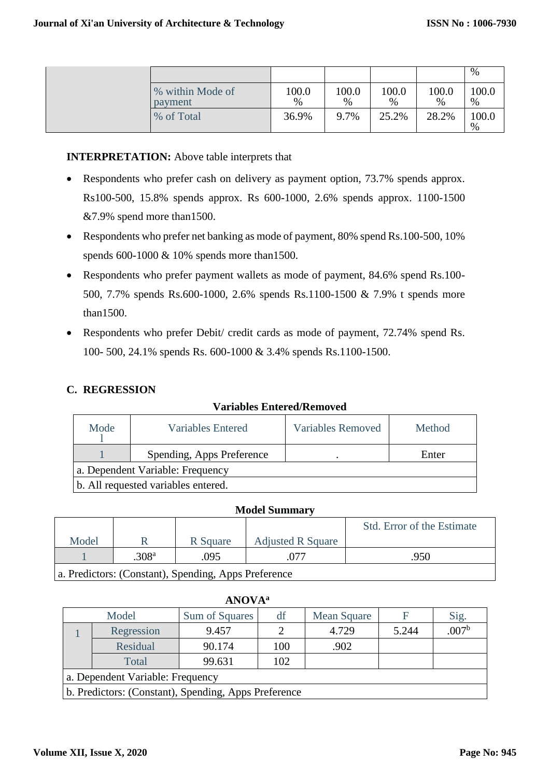|                             |               |            |               |               | $\%$          |
|-----------------------------|---------------|------------|---------------|---------------|---------------|
| % within Mode of<br>payment | 100.0<br>$\%$ | 100.0<br>% | 100.0<br>$\%$ | 100.0<br>$\%$ | 100.0<br>$\%$ |
| % of Total                  | 36.9%         | 9.7%       | 25.2%         | 28.2%         | 100.0<br>$\%$ |

### **INTERPRETATION:** Above table interprets that

- Respondents who prefer cash on delivery as payment option, 73.7% spends approx. Rs100-500, 15.8% spends approx. Rs 600-1000, 2.6% spends approx. 1100-1500 &7.9% spend more than1500.
- Respondents who prefer net banking as mode of payment, 80% spend Rs.100-500, 10% spends 600-1000 & 10% spends more than1500.
- Respondents who prefer payment wallets as mode of payment, 84.6% spend Rs.100- 500, 7.7% spends Rs.600-1000, 2.6% spends Rs.1100-1500 & 7.9% t spends more than1500.
- Respondents who prefer Debit/ credit cards as mode of payment, 72.74% spend Rs. 100- 500, 24.1% spends Rs. 600-1000 & 3.4% spends Rs.1100-1500.

### **C. REGRESSION**

| Mode                                | Variables Entered         | <b>Variables Removed</b> | Method |  |  |  |
|-------------------------------------|---------------------------|--------------------------|--------|--|--|--|
|                                     | Spending, Apps Preference |                          | Enter  |  |  |  |
| a. Dependent Variable: Frequency    |                           |                          |        |  |  |  |
| b. All requested variables entered. |                           |                          |        |  |  |  |

#### **Variables Entered/Removed**

#### **Model Summary**

|       |                   |          |                          | <b>Std.</b> Error of the Estimate |
|-------|-------------------|----------|--------------------------|-----------------------------------|
| Model |                   | R Square | <b>Adjusted R Square</b> |                                   |
|       | .308 <sup>a</sup> | .095     |                          | .950                              |
|       |                   |          |                          |                                   |

a. Predictors: (Constant), Spending, Apps Preference

| NOV. |
|------|
|      |

|                                  | Model                                                | Sum of Squares | df  | Mean Square | F     | Sig.             |  |  |
|----------------------------------|------------------------------------------------------|----------------|-----|-------------|-------|------------------|--|--|
|                                  | Regression                                           | 9.457          |     | 4.729       | 5.244 | 007 <sup>b</sup> |  |  |
|                                  | Residual                                             | 90.174         | 100 | .902        |       |                  |  |  |
|                                  | Total                                                | 99.631         | 102 |             |       |                  |  |  |
| a. Dependent Variable: Frequency |                                                      |                |     |             |       |                  |  |  |
|                                  | b. Predictors: (Constant), Spending, Apps Preference |                |     |             |       |                  |  |  |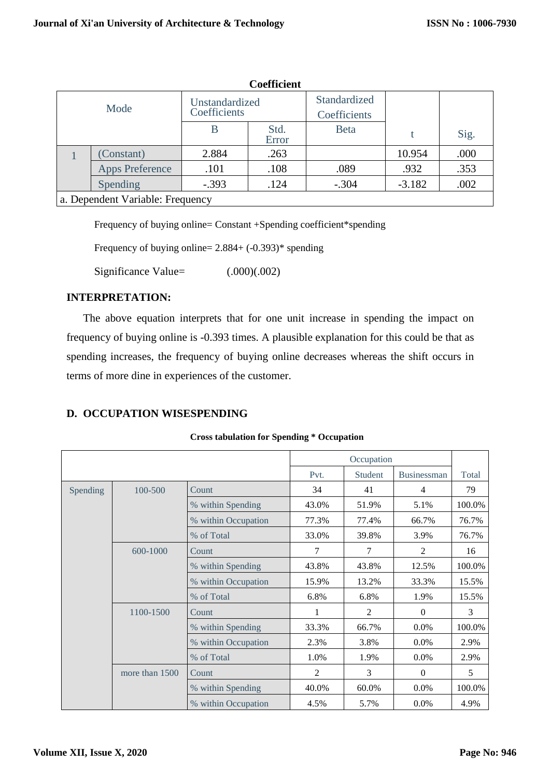|      | Coemcient                        |                                |               |                              |          |      |  |  |
|------|----------------------------------|--------------------------------|---------------|------------------------------|----------|------|--|--|
| Mode |                                  | Unstandardized<br>Coefficients |               | Standardized<br>Coefficients |          |      |  |  |
|      |                                  | B                              | Std.<br>Error | <b>Beta</b>                  |          | Sig. |  |  |
|      | (Constant)                       | 2.884                          | .263          |                              | 10.954   | .000 |  |  |
|      | <b>Apps Preference</b>           | .101                           | .108          | .089                         | .932     | .353 |  |  |
|      | Spending                         | $-.393$                        | .124          | $-.304$                      | $-3.182$ | .002 |  |  |
|      | a. Dependent Variable: Frequency |                                |               |                              |          |      |  |  |

**Coefficient**

Frequency of buying online= Constant +Spending coefficient\*spending

Frequency of buying online=  $2.884+(-0.393)$ <sup>\*</sup> spending

Significance Value=  $(.000)(.002)$ 

#### **INTERPRETATION:**

The above equation interprets that for one unit increase in spending the impact on frequency of buying online is -0.393 times. A plausible explanation for this could be that as spending increases, the frequency of buying online decreases whereas the shift occurs in terms of more dine in experiences of the customer.

#### **D. OCCUPATION WISESPENDING**

**Cross tabulation for Spending \* Occupation**

|          |                |                     |                | Occupation     |                    |        |
|----------|----------------|---------------------|----------------|----------------|--------------------|--------|
|          |                |                     | Pvt.           | <b>Student</b> | <b>Businessman</b> | Total  |
| Spending | 100-500        | Count               | 34             | 41             | 4                  | 79     |
|          |                | % within Spending   | 43.0%          | 51.9%          | 5.1%               | 100.0% |
|          |                | % within Occupation | 77.3%          | 77.4%          | 66.7%              | 76.7%  |
|          |                | % of Total          | 33.0%          | 39.8%          | 3.9%               | 76.7%  |
|          | 600-1000       | Count               | $\overline{7}$ | 7              | $\overline{c}$     | 16     |
|          |                | % within Spending   | 43.8%          | 43.8%          | 12.5%              | 100.0% |
|          |                | % within Occupation | 15.9%          | 13.2%          | 33.3%              | 15.5%  |
|          |                | % of Total          | 6.8%           | 6.8%           | 1.9%               | 15.5%  |
|          | 1100-1500      | Count               | 1              | $\mathfrak{D}$ | $\Omega$           | 3      |
|          |                | % within Spending   | 33.3%          | 66.7%          | 0.0%               | 100.0% |
|          |                | % within Occupation | 2.3%           | 3.8%           | 0.0%               | 2.9%   |
|          |                | % of Total          | 1.0%           | 1.9%           | 0.0%               | 2.9%   |
|          | more than 1500 | Count               | 2              | 3              | $\theta$           | 5      |
|          |                | % within Spending   | 40.0%          | 60.0%          | 0.0%               | 100.0% |
|          |                | % within Occupation | 4.5%           | 5.7%           | 0.0%               | 4.9%   |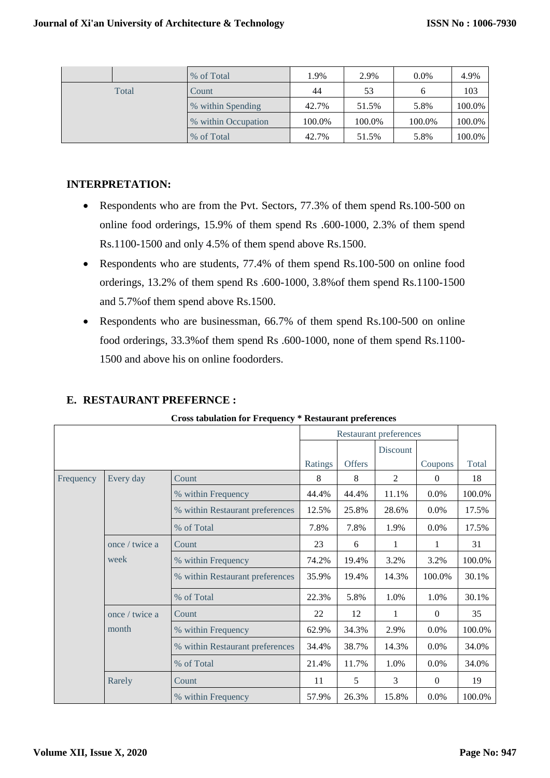|       | % of Total          | 1.9%   | 2.9%   | $0.0\%$ | 4.9%   |
|-------|---------------------|--------|--------|---------|--------|
| Total | Count               | 44     | 53     |         | 103    |
|       | % within Spending   | 42.7%  | 51.5%  | 5.8%    | 100.0% |
|       | % within Occupation | 100.0% | 100.0% | 100.0%  | 100.0% |
|       | % of Total          | 42.7%  | 51.5%  | 5.8%    | 100.0% |

#### **INTERPRETATION:**

- Respondents who are from the Pvt. Sectors, 77.3% of them spend Rs.100-500 on online food orderings, 15.9% of them spend Rs .600-1000, 2.3% of them spend Rs.1100-1500 and only 4.5% of them spend above Rs.1500.
- Respondents who are students, 77.4% of them spend Rs.100-500 on online food orderings, 13.2% of them spend Rs .600-1000, 3.8%of them spend Rs.1100-1500 and 5.7%of them spend above Rs.1500.
- Respondents who are businessman, 66.7% of them spend Rs.100-500 on online food orderings, 33.3%of them spend Rs .600-1000, none of them spend Rs.1100- 1500 and above his on online foodorders.

|           |                | <b>Cross tabulation for Frequency * Restaurant preferences</b> |         |        |                               |          |        |
|-----------|----------------|----------------------------------------------------------------|---------|--------|-------------------------------|----------|--------|
|           |                |                                                                |         |        | <b>Restaurant preferences</b> |          |        |
|           |                |                                                                |         |        | Discount                      |          |        |
|           |                |                                                                | Ratings | Offers |                               | Coupons  | Total  |
| Frequency | Every day      | Count                                                          | 8       | 8      | 2                             | $\theta$ | 18     |
|           |                | % within Frequency                                             | 44.4%   | 44.4%  | 11.1%                         | $0.0\%$  | 100.0% |
|           |                | % within Restaurant preferences                                | 12.5%   | 25.8%  | 28.6%                         | $0.0\%$  | 17.5%  |
|           |                | % of Total                                                     | 7.8%    | 7.8%   | 1.9%                          | $0.0\%$  | 17.5%  |
|           | once / twice a | Count                                                          | 23      | 6      | 1                             | 1        | 31     |
|           | week           | % within Frequency                                             | 74.2%   | 19.4%  | 3.2%                          | 3.2%     | 100.0% |
|           |                | % within Restaurant preferences                                | 35.9%   | 19.4%  | 14.3%                         | 100.0%   | 30.1%  |
|           |                | % of Total                                                     | 22.3%   | 5.8%   | 1.0%                          | 1.0%     | 30.1%  |
|           | once / twice a | Count                                                          | 22      | 12     | 1                             | $\Omega$ | 35     |
|           | month          | % within Frequency                                             | 62.9%   | 34.3%  | 2.9%                          | $0.0\%$  | 100.0% |
|           |                | % within Restaurant preferences                                | 34.4%   | 38.7%  | 14.3%                         | $0.0\%$  | 34.0%  |
|           |                | % of Total                                                     | 21.4%   | 11.7%  | 1.0%                          | $0.0\%$  | 34.0%  |
|           | Rarely         | Count                                                          | 11      | 5      | 3                             | $\Omega$ | 19     |
|           |                | % within Frequency                                             | 57.9%   | 26.3%  | 15.8%                         | $0.0\%$  | 100.0% |

## **E. RESTAURANT PREFERNCE :**

**Cross tabulation for Frequency \* Restaurant preferences**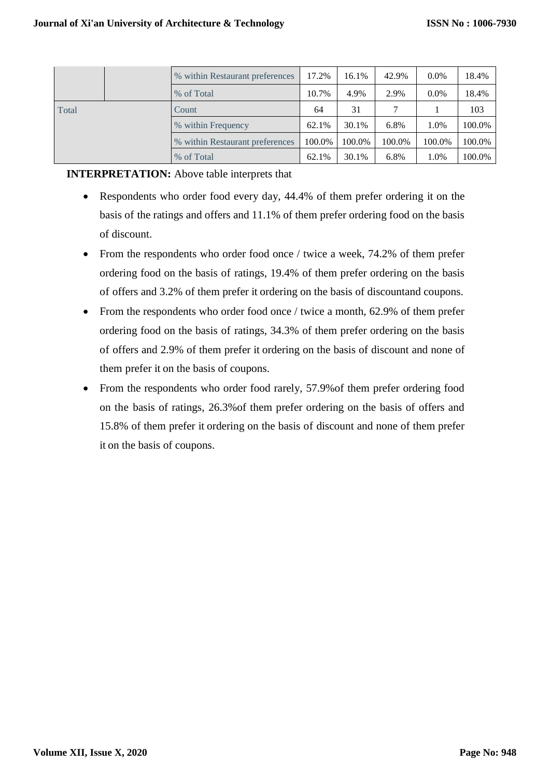|       |  | % within Restaurant preferences | 17.2%  | 16.1%  | 42.9%  | $0.0\%$ | 18.4%  |
|-------|--|---------------------------------|--------|--------|--------|---------|--------|
|       |  | % of Total                      | 10.7%  | 4.9%   | 2.9%   | $0.0\%$ | 18.4%  |
| Total |  | Count                           | 64     | 31     |        |         | 103    |
|       |  | % within Frequency              | 62.1%  | 30.1%  | 6.8%   | 1.0%    | 100.0% |
|       |  | % within Restaurant preferences | 100.0% | 100.0% | 100.0% | 100.0%  | 100.0% |
|       |  | % of Total                      | 62.1%  | 30.1%  | 6.8%   | 1.0%    | 100.0% |

#### **INTERPRETATION:** Above table interprets that

- Respondents who order food every day, 44.4% of them prefer ordering it on the basis of the ratings and offers and 11.1% of them prefer ordering food on the basis of discount.
- From the respondents who order food once / twice a week, 74.2% of them prefer ordering food on the basis of ratings, 19.4% of them prefer ordering on the basis of offers and 3.2% of them prefer it ordering on the basis of discountand coupons.
- From the respondents who order food once / twice a month, 62.9% of them prefer ordering food on the basis of ratings, 34.3% of them prefer ordering on the basis of offers and 2.9% of them prefer it ordering on the basis of discount and none of them prefer it on the basis of coupons.
- From the respondents who order food rarely, 57.9% of them prefer ordering food on the basis of ratings, 26.3%of them prefer ordering on the basis of offers and 15.8% of them prefer it ordering on the basis of discount and none of them prefer it on the basis of coupons.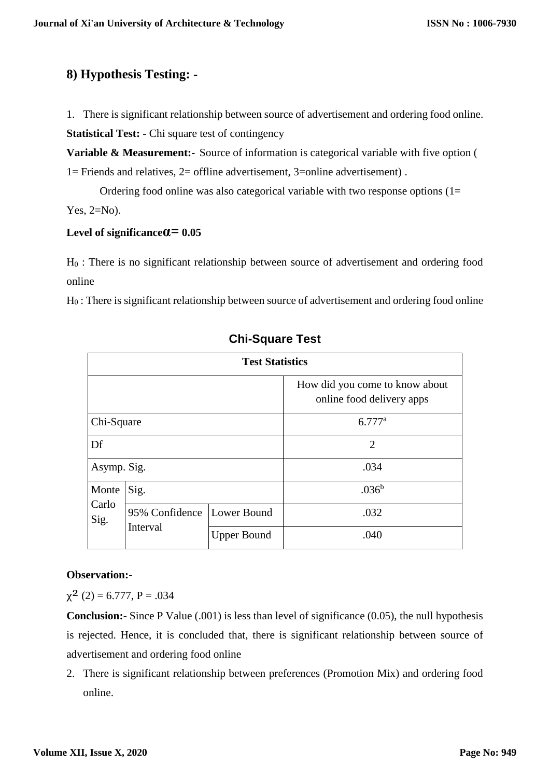## **8) Hypothesis Testing: -**

1. There is significant relationship between source of advertisement and ordering food online.

**Statistical Test: -** Chi square test of contingency

**Variable & Measurement:-** Source of information is categorical variable with five option ( 1= Friends and relatives, 2= offline advertisement, 3=online advertisement) .

Ordering food online was also categorical variable with two response options  $(1=$ 

Yes,  $2=N<sub>o</sub>$ ).

## **Level of significanceα= 0.05**

H<sup>0</sup> : There is no significant relationship between source of advertisement and ordering food online

H<sup>0</sup> : There is significant relationship between source of advertisement and ordering food online

| <b>Test Statistics</b> |                            |                    |                                                             |  |  |
|------------------------|----------------------------|--------------------|-------------------------------------------------------------|--|--|
|                        |                            |                    | How did you come to know about<br>online food delivery apps |  |  |
| Chi-Square             |                            |                    | $6.777^{\rm a}$                                             |  |  |
| Df                     |                            |                    | $\overline{2}$                                              |  |  |
| Asymp. Sig.            |                            |                    | .034                                                        |  |  |
| Monte<br>Carlo<br>Sig. | Sig.                       |                    | .036 <sup>b</sup>                                           |  |  |
|                        | 95% Confidence<br>Interval | Lower Bound        | .032                                                        |  |  |
|                        |                            | <b>Upper Bound</b> | .040                                                        |  |  |

## **Chi-Square Test**

## **Observation:-**

 $\chi^2$  (2) = 6.777, P = .034

**Conclusion:-** Since P Value (.001) is less than level of significance (0.05), the null hypothesis is rejected. Hence, it is concluded that, there is significant relationship between source of advertisement and ordering food online

2. There is significant relationship between preferences (Promotion Mix) and ordering food online.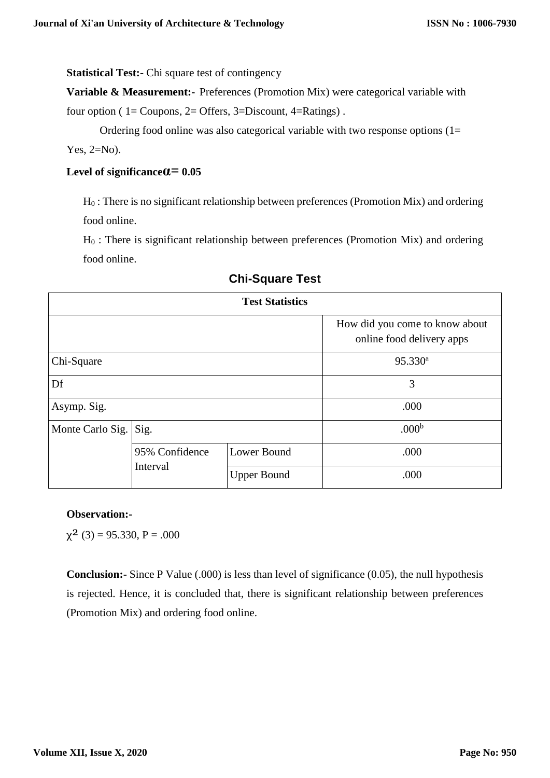**Statistical Test:-** Chi square test of contingency

**Variable & Measurement:-** Preferences (Promotion Mix) were categorical variable with

four option ( 1= Coupons, 2= Offers, 3=Discount, 4=Ratings) .

Ordering food online was also categorical variable with two response options  $(1=$ 

Yes,  $2=N_0$ ).

### **Level of significanceα= 0.05**

H<sup>0</sup> : There is no significant relationship between preferences (Promotion Mix) and ordering food online.

H<sup>0</sup> : There is significant relationship between preferences (Promotion Mix) and ordering food online.

| <b>Test Statistics</b> |                |                    |                                                             |  |  |
|------------------------|----------------|--------------------|-------------------------------------------------------------|--|--|
|                        |                |                    | How did you come to know about<br>online food delivery apps |  |  |
| Chi-Square             |                | $95.330^a$         |                                                             |  |  |
| Df                     |                | 3                  |                                                             |  |  |
| Asymp. Sig.            |                | .000               |                                                             |  |  |
| Monte Carlo Sig.       | Sig.           |                    | .000 <sup>b</sup>                                           |  |  |
|                        | 95% Confidence | Lower Bound        | .000                                                        |  |  |
|                        | Interval       | <b>Upper Bound</b> | .000                                                        |  |  |

## **Chi-Square Test**

#### **Observation:-**

 $\chi^2$  (3) = 95.330, P = .000

**Conclusion:-** Since P Value (.000) is less than level of significance (0.05), the null hypothesis is rejected. Hence, it is concluded that, there is significant relationship between preferences (Promotion Mix) and ordering food online.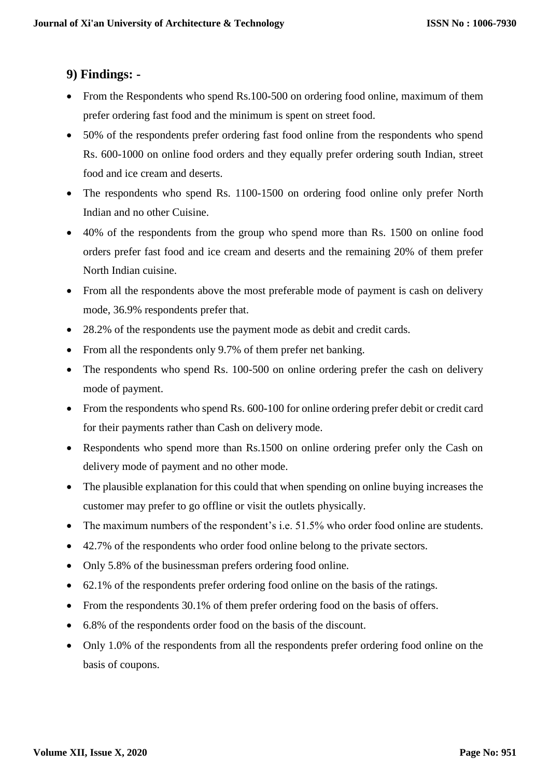## **9) Findings: -**

- From the Respondents who spend Rs.100-500 on ordering food online, maximum of them prefer ordering fast food and the minimum is spent on street food.
- 50% of the respondents prefer ordering fast food online from the respondents who spend Rs. 600-1000 on online food orders and they equally prefer ordering south Indian, street food and ice cream and deserts.
- The respondents who spend Rs. 1100-1500 on ordering food online only prefer North Indian and no other Cuisine.
- 40% of the respondents from the group who spend more than Rs. 1500 on online food orders prefer fast food and ice cream and deserts and the remaining 20% of them prefer North Indian cuisine.
- From all the respondents above the most preferable mode of payment is cash on delivery mode, 36.9% respondents prefer that.
- 28.2% of the respondents use the payment mode as debit and credit cards.
- From all the respondents only 9.7% of them prefer net banking.
- The respondents who spend Rs. 100-500 on online ordering prefer the cash on delivery mode of payment.
- From the respondents who spend Rs. 600-100 for online ordering prefer debit or credit card for their payments rather than Cash on delivery mode.
- Respondents who spend more than Rs.1500 on online ordering prefer only the Cash on delivery mode of payment and no other mode.
- The plausible explanation for this could that when spending on online buying increases the customer may prefer to go offline or visit the outlets physically.
- The maximum numbers of the respondent's i.e. 51.5% who order food online are students.
- 42.7% of the respondents who order food online belong to the private sectors.
- Only 5.8% of the businessman prefers ordering food online.
- 62.1% of the respondents prefer ordering food online on the basis of the ratings.
- From the respondents 30.1% of them prefer ordering food on the basis of offers.
- 6.8% of the respondents order food on the basis of the discount.
- Only 1.0% of the respondents from all the respondents prefer ordering food online on the basis of coupons.